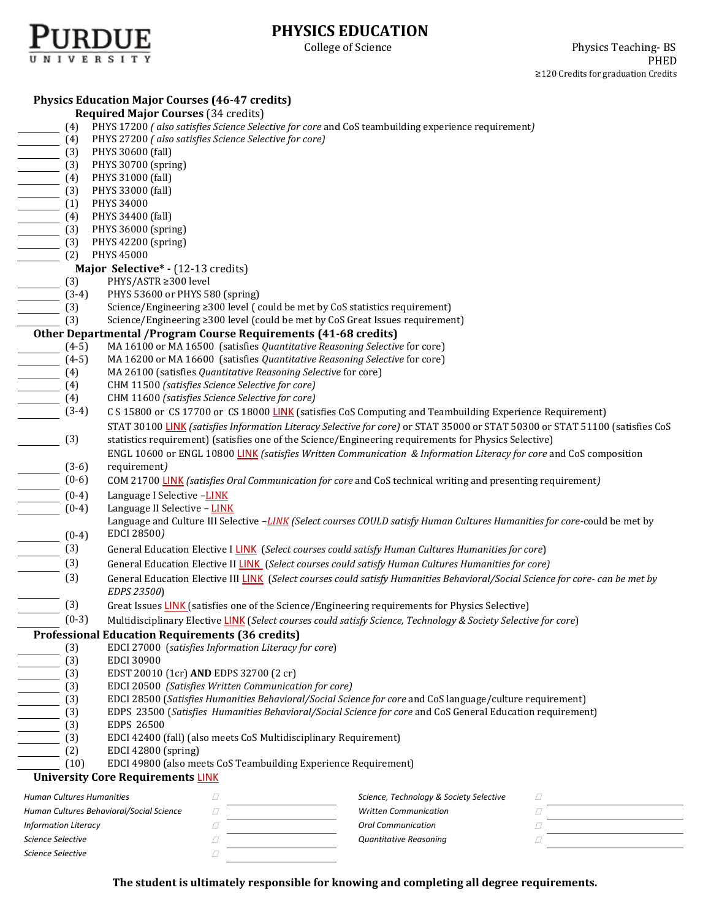

## **PHYSICS EDUCATION**

| <b>Physics Education Major Courses (46-47 credits)</b>                                                                                                                                                                                                                                                                                                                                                                                                                                                                                                                       |                                                                                                                                |
|------------------------------------------------------------------------------------------------------------------------------------------------------------------------------------------------------------------------------------------------------------------------------------------------------------------------------------------------------------------------------------------------------------------------------------------------------------------------------------------------------------------------------------------------------------------------------|--------------------------------------------------------------------------------------------------------------------------------|
| <b>Required Major Courses (34 credits)</b>                                                                                                                                                                                                                                                                                                                                                                                                                                                                                                                                   |                                                                                                                                |
| (4) PHYS 17200 (also satisfies Science Selective for core and CoS teambuilding experience requirement)                                                                                                                                                                                                                                                                                                                                                                                                                                                                       |                                                                                                                                |
| (4) PHYS 27200 (also satisfies Science Selective for core)                                                                                                                                                                                                                                                                                                                                                                                                                                                                                                                   |                                                                                                                                |
|                                                                                                                                                                                                                                                                                                                                                                                                                                                                                                                                                                              |                                                                                                                                |
|                                                                                                                                                                                                                                                                                                                                                                                                                                                                                                                                                                              |                                                                                                                                |
|                                                                                                                                                                                                                                                                                                                                                                                                                                                                                                                                                                              |                                                                                                                                |
|                                                                                                                                                                                                                                                                                                                                                                                                                                                                                                                                                                              |                                                                                                                                |
|                                                                                                                                                                                                                                                                                                                                                                                                                                                                                                                                                                              |                                                                                                                                |
|                                                                                                                                                                                                                                                                                                                                                                                                                                                                                                                                                                              |                                                                                                                                |
|                                                                                                                                                                                                                                                                                                                                                                                                                                                                                                                                                                              |                                                                                                                                |
|                                                                                                                                                                                                                                                                                                                                                                                                                                                                                                                                                                              |                                                                                                                                |
| (4) PHYS 30600 (fall)<br>(3) PHYS 30600 (fall)<br>(3) PHYS 30600 (fall)<br>(4) PHYS 31000 (fall)<br>(4) PHYS 33000 (fall)<br>(3) PHYS 34000<br>(4) PHYS 34400 (fall)<br>(3) PHYS 34400 (fall)<br>(3) PHYS 36000 (spring)<br>(3) PHYS 42200 (spri                                                                                                                                                                                                                                                                                                                             |                                                                                                                                |
| Major Selective* - (12-13 credits)<br>Major<br>$\frac{(3)}{3}$<br>$\frac{(3-4)}{(3)}$<br>$\frac{(3)}{3}$                                                                                                                                                                                                                                                                                                                                                                                                                                                                     |                                                                                                                                |
| PHYS/ASTR ≥300 level                                                                                                                                                                                                                                                                                                                                                                                                                                                                                                                                                         |                                                                                                                                |
| PHYS 53600 or PHYS 580 (spring)                                                                                                                                                                                                                                                                                                                                                                                                                                                                                                                                              |                                                                                                                                |
| Science/Engineering ≥300 level (could be met by CoS statistics requirement)                                                                                                                                                                                                                                                                                                                                                                                                                                                                                                  |                                                                                                                                |
| Science/Engineering ≥300 level (could be met by CoS Great Issues requirement)<br>$\frac{\phantom{+}}{\phantom{+}}$ (3)                                                                                                                                                                                                                                                                                                                                                                                                                                                       |                                                                                                                                |
| Other Departmental / Program Course Requirements (41-68 credits)                                                                                                                                                                                                                                                                                                                                                                                                                                                                                                             |                                                                                                                                |
| MA 16100 or MA 16500 (satisfies Quantitative Reasoning Selective for core)<br>$(4-5)$                                                                                                                                                                                                                                                                                                                                                                                                                                                                                        |                                                                                                                                |
| MA 16200 or MA 16600 (satisfies Quantitative Reasoning Selective for core)                                                                                                                                                                                                                                                                                                                                                                                                                                                                                                   |                                                                                                                                |
| MA 26100 (satisfies Quantitative Reasoning Selective for core)                                                                                                                                                                                                                                                                                                                                                                                                                                                                                                               |                                                                                                                                |
| CHM 11500 (satisfies Science Selective for core)                                                                                                                                                                                                                                                                                                                                                                                                                                                                                                                             |                                                                                                                                |
| $(4-5)$<br>$(4)$<br>$(4)$<br>$(4)$<br>$(4)$<br>$(5)$<br>CHM 11600 (satisfies Science Selective for core)                                                                                                                                                                                                                                                                                                                                                                                                                                                                     |                                                                                                                                |
| $(3-4)$                                                                                                                                                                                                                                                                                                                                                                                                                                                                                                                                                                      | C S 15800 or CS 17700 or CS 18000 LINK (satisfies CoS Computing and Teambuilding Experience Requirement)                       |
|                                                                                                                                                                                                                                                                                                                                                                                                                                                                                                                                                                              | STAT 30100 LINK (satisfies Information Literacy Selective for core) or STAT 35000 or STAT 50300 or STAT 51100 (satisfies CoS   |
| $\begin{pmatrix} 3 \end{pmatrix}$<br>statistics requirement) (satisfies one of the Science/Engineering requirements for Physics Selective)                                                                                                                                                                                                                                                                                                                                                                                                                                   |                                                                                                                                |
|                                                                                                                                                                                                                                                                                                                                                                                                                                                                                                                                                                              | ENGL 10600 or ENGL 10800 LINK (satisfies Written Communication & Information Literacy for core and CoS composition             |
| requirement)                                                                                                                                                                                                                                                                                                                                                                                                                                                                                                                                                                 |                                                                                                                                |
|                                                                                                                                                                                                                                                                                                                                                                                                                                                                                                                                                                              | COM 21700 LINK (satisfies Oral Communication for core and CoS technical writing and presenting requirement)                    |
| $(3-6)$<br>$(0-6)$<br>$(0-4)$<br>$(0-4)$                                                                                                                                                                                                                                                                                                                                                                                                                                                                                                                                     |                                                                                                                                |
| Language I Selective -LINK<br>Language II Selective - LINK                                                                                                                                                                                                                                                                                                                                                                                                                                                                                                                   |                                                                                                                                |
|                                                                                                                                                                                                                                                                                                                                                                                                                                                                                                                                                                              | Language and Culture III Selective -LINK (Select courses COULD satisfy Human Cultures Humanities for core-could be met by      |
| EDCI 28500)                                                                                                                                                                                                                                                                                                                                                                                                                                                                                                                                                                  |                                                                                                                                |
|                                                                                                                                                                                                                                                                                                                                                                                                                                                                                                                                                                              |                                                                                                                                |
| $\frac{(0-4)}{(3)}$<br>(3)<br>(3)<br>General Education Elective I LINK (Select courses could satisfy Human Cultures Humanities for core)                                                                                                                                                                                                                                                                                                                                                                                                                                     |                                                                                                                                |
| General Education Elective II LINK (Select courses could satisfy Human Cultures Humanities for core)                                                                                                                                                                                                                                                                                                                                                                                                                                                                         |                                                                                                                                |
| (3)                                                                                                                                                                                                                                                                                                                                                                                                                                                                                                                                                                          | General Education Elective III LINK (Select courses could satisfy Humanities Behavioral/Social Science for core- can be met by |
| EDPS 23500)                                                                                                                                                                                                                                                                                                                                                                                                                                                                                                                                                                  |                                                                                                                                |
| (3)<br>Great Issues LINK (satisfies one of the Science/Engineering requirements for Physics Selective)                                                                                                                                                                                                                                                                                                                                                                                                                                                                       |                                                                                                                                |
| $(0-3)$<br>Multidisciplinary Elective LINK (Select courses could satisfy Science, Technology & Society Selective for core)                                                                                                                                                                                                                                                                                                                                                                                                                                                   |                                                                                                                                |
| <b>Professional Education Requirements (36 credits)</b>                                                                                                                                                                                                                                                                                                                                                                                                                                                                                                                      |                                                                                                                                |
| EDCI 27000 (satisfies Information Literacy for core)<br>(3)                                                                                                                                                                                                                                                                                                                                                                                                                                                                                                                  |                                                                                                                                |
| <b>EDCI 30900</b><br>(3)                                                                                                                                                                                                                                                                                                                                                                                                                                                                                                                                                     |                                                                                                                                |
| EDST 20010 (1cr) AND EDPS 32700 (2 cr)<br>(3)                                                                                                                                                                                                                                                                                                                                                                                                                                                                                                                                |                                                                                                                                |
| EDCI 20500 (Satisfies Written Communication for core)                                                                                                                                                                                                                                                                                                                                                                                                                                                                                                                        |                                                                                                                                |
| $\begin{array}{c}\n\begin{array}{c}\n\hline\n\end{array} \\ \hline\n\end{array}\n\end{array}\n\begin{array}{c}\n\begin{array}{c}\n\hline\n\end{array} \\ \hline\n\end{array}\n\begin{array}{c}\n\hline\n\end{array} \\ \hline\n\begin{array}{c}\n\hline\n\end{array} \\ \hline\n\end{array}\n\begin{array}{c}\n\hline\n\end{array} \\ \hline\n\end{array}\n\begin{array}{c}\n\hline\n\end{array} \\ \hline\n\end{array}\n\begin{array}{c}\n\hline\n\end{array}$<br>EDCI 28500 (Satisfies Humanities Behavioral/Social Science for core and CoS language/culture requirement) |                                                                                                                                |
|                                                                                                                                                                                                                                                                                                                                                                                                                                                                                                                                                                              | EDPS 23500 (Satisfies Humanities Behavioral/Social Science for core and CoS General Education requirement)                     |
| <b>EDPS 26500</b><br>(3)                                                                                                                                                                                                                                                                                                                                                                                                                                                                                                                                                     |                                                                                                                                |
| EDCI 42400 (fall) (also meets CoS Multidisciplinary Requirement)<br>(3)                                                                                                                                                                                                                                                                                                                                                                                                                                                                                                      |                                                                                                                                |
| EDCI 42800 (spring)<br>(2)                                                                                                                                                                                                                                                                                                                                                                                                                                                                                                                                                   |                                                                                                                                |
| EDCI 49800 (also meets CoS Teambuilding Experience Requirement)<br>(10)                                                                                                                                                                                                                                                                                                                                                                                                                                                                                                      |                                                                                                                                |
| <b>University Core Requirements LINK</b>                                                                                                                                                                                                                                                                                                                                                                                                                                                                                                                                     |                                                                                                                                |
| Human Cultures Humanities<br>□                                                                                                                                                                                                                                                                                                                                                                                                                                                                                                                                               | Science, Technology & Society Selective<br>□                                                                                   |
| Human Cultures Behavioral/Social Science<br>□                                                                                                                                                                                                                                                                                                                                                                                                                                                                                                                                | <b>Written Communication</b><br>Ω                                                                                              |
| <b>Information Literacy</b><br>□                                                                                                                                                                                                                                                                                                                                                                                                                                                                                                                                             | <b>Oral Communication</b><br>□                                                                                                 |
| Science Selective<br>□                                                                                                                                                                                                                                                                                                                                                                                                                                                                                                                                                       | <b>Quantitative Reasoning</b><br>O                                                                                             |
| Science Selective<br>Ω                                                                                                                                                                                                                                                                                                                                                                                                                                                                                                                                                       |                                                                                                                                |
|                                                                                                                                                                                                                                                                                                                                                                                                                                                                                                                                                                              |                                                                                                                                |

**The student is ultimately responsible for knowing and completing all degree requirements.**